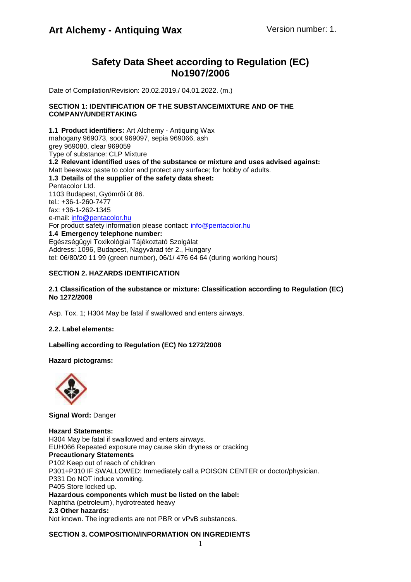## **Safety Data Sheet according to Regulation (EC) No1907/2006**

Date of Compilation/Revision: 20.02.2019./ 04.01.2022. (m.)

### **SECTION 1: IDENTIFICATION OF THE SUBSTANCE/MIXTURE AND OF THE COMPANY/UNDERTAKING**

**1.1 Product identifiers:** Art Alchemy - Antiquing Wax mahogany 969073, soot 969097, sepia 969066, ash grey 969080, clear 969059 Type of substance: CLP Mixture **1.2 Relevant identified uses of the substance or mixture and uses advised against:** Matt beeswax paste to color and protect any surface; for hobby of adults. **1.3 Details of the supplier of the safety data sheet:** Pentacolor Ltd. 1103 Budapest, Gyömrõi út 86. tel.: +36-1-260-7477 fax: +36-1-262-1345 e-mail: [info@pentacolor.hu](mailto:info@pentacolor.hu) For product safety information please contact: [info@pentacolor.hu](mailto:info@pentacolor.hu) **1.4 Emergency telephone number:** Egészségügyi Toxikológiai Tájékoztató Szolgálat Address: 1096, Budapest, Nagyvárad tér 2., Hungary tel: 06/80/20 11 99 (green number), 06/1/ 476 64 64 (during working hours)

## **SECTION 2. HAZARDS IDENTIFICATION**

## **2.1 Classification of the substance or mixture: Classification according to Regulation (EC) No 1272/2008**

Asp. Tox. 1; H304 May be fatal if swallowed and enters airways.

## **2.2. Label elements:**

**Labelling according to Regulation (EC) No 1272/2008** 

## **Hazard pictograms:**



**Signal Word:** Danger

## **Hazard Statements:**

H304 May be fatal if swallowed and enters airways. EUH066 Repeated exposure may cause skin dryness or cracking **Precautionary Statements** P102 Keep out of reach of children P301+P310 IF SWALLOWED: Immediately call a POISON CENTER or doctor/physician. P331 Do NOT induce vomiting. P405 Store locked up. **Hazardous components which must be listed on the label:** Naphtha (petroleum), hydrotreated heavy **2.3 Other hazards:** Not known. The ingredients are not PBR or vPvB substances.

## **SECTION 3. COMPOSITION/INFORMATION ON INGREDIENTS**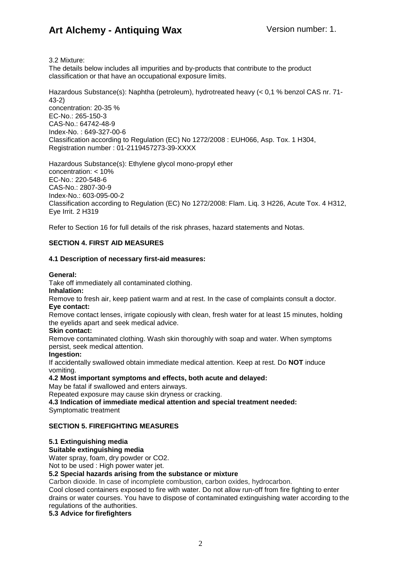3.2 Mixture:

The details below includes all impurities and by-products that contribute to the product classification or that have an occupational exposure limits.

Hazardous Substance(s): Naphtha (petroleum), hydrotreated heavy (< 0,1 % benzol CAS nr. 71- 43-2) concentration: 20-35 % EC-No.: 265-150-3 CAS-No.: 64742-48-9 Index-No. : 649-327-00-6 Classification according to Regulation (EC) No 1272/2008 : EUH066, Asp. Tox. 1 H304, Registration number : 01-2119457273-39-XXXX

Hazardous Substance(s): Ethylene glycol mono-propyl ether concentration: < 10% EC-No.: 220-548-6 CAS-No.: 2807-30-9 Index-No.: 603-095-00-2 Classification according to Regulation (EC) No 1272/2008: Flam. Liq. 3 H226, Acute Tox. 4 H312, Eye Irrit. 2 H319

Refer to Section 16 for full details of the risk phrases, hazard statements and Notas.

## **SECTION 4. FIRST AID MEASURES**

## **4.1 Description of necessary first-aid measures:**

### **General:**

Take off immediately all contaminated clothing.

### **Inhalation:**

Remove to fresh air, keep patient warm and at rest. In the case of complaints consult a doctor. **Eye contact:**

Remove contact lenses, irrigate copiously with clean, fresh water for at least 15 minutes, holding the eyelids apart and seek medical advice.

## **Skin contact:**

Remove contaminated clothing. Wash skin thoroughly with soap and water. When symptoms persist, seek medical attention.

### **Ingestion:**

If accidentally swallowed obtain immediate medical attention. Keep at rest. Do **NOT** induce vomiting.

## **4.2 Most important symptoms and effects, both acute and delayed:**

May be fatal if swallowed and enters airways.

Repeated exposure may cause skin dryness or cracking.

### **4.3 Indication of immediate medical attention and special treatment needed:**

Symptomatic treatment

## **SECTION 5. FIREFIGHTING MEASURES**

## **5.1 Extinguishing media**

**Suitable extinguishing media**

Water spray, foam, dry powder or CO2.

Not to be used : High power water jet.

## **5.2 Special hazards arising from the substance or mixture**

Carbon dioxide. In case of incomplete combustion, carbon oxides, hydrocarbon.

Cool closed containers exposed to fire with water. Do not allow run-off from fire fighting to enter drains or water courses. You have to dispose of contaminated extinguishing water according to the regulations of the authorities.

**5.3 Advice for firefighters**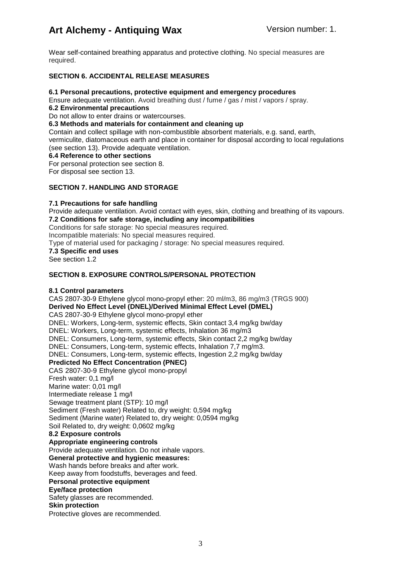Wear self-contained breathing apparatus and protective clothing. No special measures are required.

## **SECTION 6. ACCIDENTAL RELEASE MEASURES**

## **6.1 Personal precautions, protective equipment and emergency procedures**

Ensure adequate ventilation. Avoid breathing dust / fume / gas / mist / vapors / spray.

**6.2 Environmental precautions**

Do not allow to enter drains or watercourses.

## **6.3 Methods and materials for containment and cleaning up**

Contain and collect spillage with non-combustible absorbent materials, e.g. sand, earth, vermiculite, diatomaceous earth and place in container for disposal according to local regulations (see section 13). Provide adequate ventilation.

## **6.4 Reference to other sections**

For personal protection see section 8.

For disposal see section 13.

## **SECTION 7. HANDLING AND STORAGE**

## **7.1 Precautions for safe handling**

Provide adequate ventilation. Avoid contact with eyes, skin, clothing and breathing of its vapours. **7.2 Conditions for safe storage, including any incompatibilities** Conditions for safe storage: No special measures required. Incompatible materials: No special measures required. Type of material used for packaging / storage: No special measures required. **7.3 Specific end uses** See section 1.2

## **SECTION 8. EXPOSURE CONTROLS/PERSONAL PROTECTION**

## **8.1 Control parameters**

CAS 2807-30-9 Ethylene glycol mono-propyl ether: 20 ml/m3, 86 mg/m3 (TRGS 900) **Derived No Effect Level (DNEL)/Derived Minimal Effect Level (DMEL)** CAS 2807-30-9 Ethylene glycol mono-propyl ether DNEL: Workers, Long-term, systemic effects, Skin contact 3,4 mg/kg bw/day DNEL: Workers, Long-term, systemic effects, Inhalation 36 mg/m3 DNEL: Consumers, Long-term, systemic effects, Skin contact 2,2 mg/kg bw/day DNEL: Consumers, Long-term, systemic effects, Inhalation 7,7 mg/m3. DNEL: Consumers, Long-term, systemic effects, Ingestion 2,2 mg/kg bw/day **Predicted No Effect Concentration (PNEC)**  CAS 2807-30-9 Ethylene glycol mono-propyl Fresh water: 0,1 mg/l Marine water: 0,01 mg/l Intermediate release 1 mg/l Sewage treatment plant (STP): 10 mg/l Sediment (Fresh water) Related to, dry weight: 0,594 mg/kg Sediment (Marine water) Related to, dry weight: 0,0594 mg/kg Soil Related to, dry weight: 0,0602 mg/kg **8.2 Exposure controls Appropriate engineering controls** Provide adequate ventilation. Do not inhale vapors. **General protective and hygienic measures:**  Wash hands before breaks and after work. Keep away from foodstuffs, beverages and feed. **Personal protective equipment Eye/face protection** Safety glasses are recommended. **Skin protection** Protective gloves are recommended.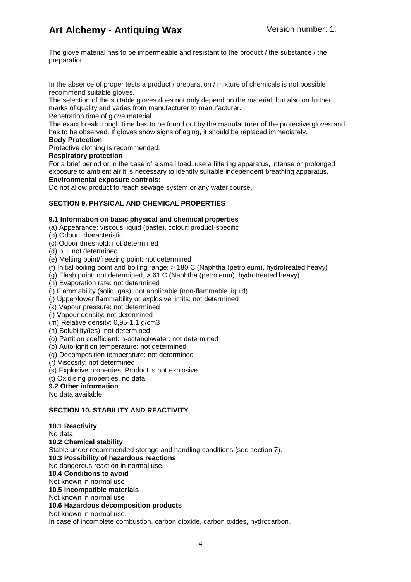The glove material has to be impermeable and resistant to the product / the substance / the preparation.

In the absence of proper tests a product / preparation / mixture of chemicals is not possible recommend suitable gloves.

The selection of the suitable gloves does not only depend on the material, but also on further marks of quality and varies from manufacturer to manufacturer.

Penetration time of glove material

The exact break trough time has to be found out by the manufacturer of the protective gloves and has to be observed. If gloves show signs of aging, it should be replaced immediately.

## **Body Protection**

Protective clothing is recommended.

## **Respiratory protection**

For a brief period or in the case of a small load, use a filtering apparatus, intense or prolonged exposure to ambient air it is necessary to identify suitable independent breathing apparatus. **Environmental exposure controls:**

Do not allow product to reach sewage system or any water course.

## **SECTION 9. PHYSICAL AND CHEMICAL PROPERTIES**

## **9.1 Information on basic physical and chemical properties**

(a) Appearance: viscous liquid (paste), colour: product-specific

- (b) Odour: characteristic
- (c) Odour threshold: not determined
- (d) pH: not determined
- (e) Melting point/freezing point: not determined
- (f) Initial boiling point and boiling range: > 180 C (Naphtha (petroleum), hydrotreated heavy)
- (g) Flash point: not determined, > 61 C (Naphtha (petroleum), hydrotreated heavy)
- (h) Evaporation rate: not determined
- (i) Flammability (solid, gas): not applicable (non-flammable liquid)
- (j) Upper/lower flammability or explosive limits: not determined
- (k) Vapour pressure: not determined
- (l) Vapour density: not determined
- (m) Relative density: 0,95-1,1 g/cm3
- (n) Solubility(ies): not determined
- (o) Partition coefficient: n-octanol/water: not determined
- (p) Auto-ignition temperature: not determined
- (q) Decomposition temperature: not determined
- (r) Viscosity: not determined
- (s) Explosive properties: Product is not explosive
- (t) Oxidising properties. no data
- **9.2 Other information**

No data available

## **SECTION 10. STABILITY AND REACTIVITY**

**10.1 Reactivity** No data **10.2 Chemical stability** Stable under recommended storage and handling conditions (see section 7). **10.3 Possibility of hazardous reactions** No dangerous reaction in normal use. **10.4 Conditions to avoid** Not known in normal use **10.5 Incompatible materials** Not known in normal use **10.6 Hazardous decomposition products** Not known in normal use. In case of incomplete combustion, carbon dioxide, carbon oxides, hydrocarbon.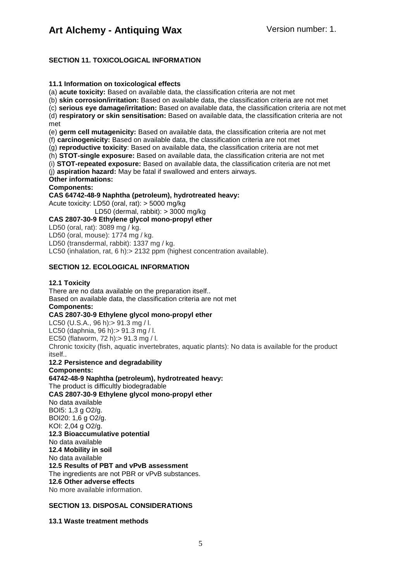## **SECTION 11. TOXICOLOGICAL INFORMATION**

## **11.1 Information on toxicological effects**

(a) **acute toxicity:** Based on available data, the classification criteria are not met

(b) **skin corrosion/irritation:** Based on available data, the classification criteria are not met

(c) **serious eye damage/irritation:** Based on available data, the classification criteria are not met

(d) **respiratory or skin sensitisation:** Based on available data, the classification criteria are not met

(e) **germ cell mutagenicity:** Based on available data, the classification criteria are not met

(f) **carcinogenicity:** Based on available data, the classification criteria are not met

(g) **reproductive toxicity**: Based on available data, the classification criteria are not met

(h) **STOT-single exposure:** Based on available data, the classification criteria are not met

(i) **STOT-repeated exposure:** Based on available data, the classification criteria are not met

(j) **aspiration hazard:** May be fatal if swallowed and enters airways.

**Other informations:**

## **Components:**

**CAS 64742-48-9 Naphtha (petroleum), hydrotreated heavy:**

Acute toxicity: LD50 (oral, rat): > 5000 mg/kg

LD50 (dermal, rabbit): > 3000 mg/kg

**CAS 2807-30-9 Ethylene glycol mono-propyl ether** 

LD50 (oral, rat): 3089 mg / kg.

LD50 (oral, mouse): 1774 mg / kg.

LD50 (transdermal, rabbit): 1337 mg / kg.

LC50 (inhalation, rat, 6 h):> 2132 ppm (highest concentration available).

## **SECTION 12. ECOLOGICAL INFORMATION**

## **12.1 Toxicity**

There are no data available on the preparation itself.. Based on available data, the classification criteria are not met **Components: CAS 2807-30-9 Ethylene glycol mono-propyl ether** LC50 (U.S.A., 96 h):> 91.3 mg / l. LC50 (daphnia, 96 h):> 91.3 mg / l. EC50 (flatworm, 72 h):> 91.3 mg / l. Chronic toxicity (fish, aquatic invertebrates, aquatic plants): No data is available for the product itself..

**12.2 Persistence and degradability** 

**Components:**

**64742-48-9 Naphtha (petroleum), hydrotreated heavy:** The product is difficultly biodegradable **CAS 2807-30-9 Ethylene glycol mono-propyl ether** No data available BOI5: 1,3 g O2/g. BOI20: 1,6 g O2/g. KOI: 2,04 g O2/g. **12.3 Bioaccumulative potential** No data available **12.4 Mobility in soil** No data available **12.5 Results of PBT and vPvB assessment** The ingredients are not PBR or vPvB substances. **12.6 Other adverse effects** No more available information.

## **SECTION 13. DISPOSAL CONSIDERATIONS**

## **13.1 Waste treatment methods**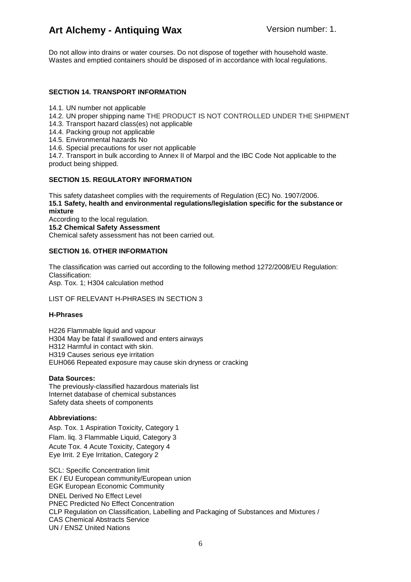Do not allow into drains or water courses. Do not dispose of together with household waste. Wastes and emptied containers should be disposed of in accordance with local regulations.

## **SECTION 14. TRANSPORT INFORMATION**

- 14.1. UN number not applicable
- 14.2. UN proper shipping name THE PRODUCT IS NOT CONTROLLED UNDER THE SHIPMENT
- 14.3. Transport hazard class(es) not applicable
- 14.4. Packing group not applicable
- 14.5. Environmental hazards No
- 14.6. Special precautions for user not applicable

14.7. Transport in bulk according to Annex II of Marpol and the IBC Code Not applicable to the product being shipped.

## **SECTION 15. REGULATORY INFORMATION**

This safety datasheet complies with the requirements of Regulation (EC) No. 1907/2006. **15.1 Safety, health and environmental regulations/legislation specific for the substance or mixture**

According to the local regulation.

**15.2 Chemical Safety Assessment**

Chemical safety assessment has not been carried out.

## **SECTION 16. OTHER INFORMATION**

The classification was carried out according to the following method 1272/2008/EU Regulation: Classification: Asp. Tox. 1; H304 calculation method

## LIST OF RELEVANT H-PHRASES IN SECTION 3

## **H-Phrases**

H226 Flammable liquid and vapour H304 May be fatal if swallowed and enters airways H312 Harmful in contact with skin. H319 Causes serious eye irritation EUH066 Repeated exposure may cause skin dryness or cracking

### **Data Sources:**

The previously-classified hazardous materials list Internet database of chemical substances Safety data sheets of components

## **Abbreviations:**

Asp. Tox. 1 Aspiration Toxicity, Category 1 Flam. liq. 3 Flammable Liquid, Category 3

Acute Tox. 4 Acute Toxicity, Category 4 Eye Irrit. 2 Eye Irritation, Category 2

SCL: Specific Concentration limit EK / EU European community/European union EGK European Economic Community DNEL Derived No Effect Level PNEC Predicted No Effect Concentration CLP Regulation on Classification, Labelling and Packaging of Substances and Mixtures / CAS Chemical Abstracts Service UN / ENSZ United Nations